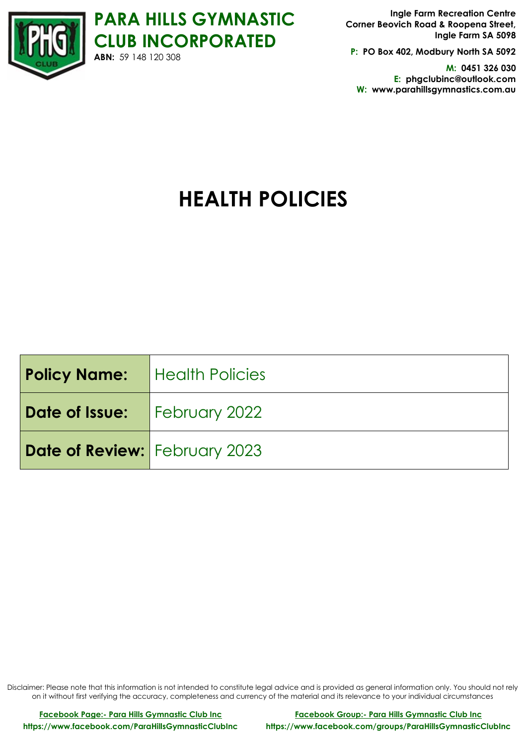

**PARA HILLS GYMNASTIC CLUB INCORPORATED ABN:** 59 148 120 308

**Ingle Farm Recreation Centre Corner Beovich Road & Roopena Street, Ingle Farm SA 5098**

**P: PO Box 402, Modbury North SA 5092**

**M: 0451 326 030 E: phgclubinc@outlook.com W: www.parahillsgymnastics.com.au**

# **HEALTH POLICIES**

| <b>Policy Name:</b>   Health Policies |  |
|---------------------------------------|--|
| <b>Date of Issue:</b> February 2022   |  |
| Date of Review: February 2023         |  |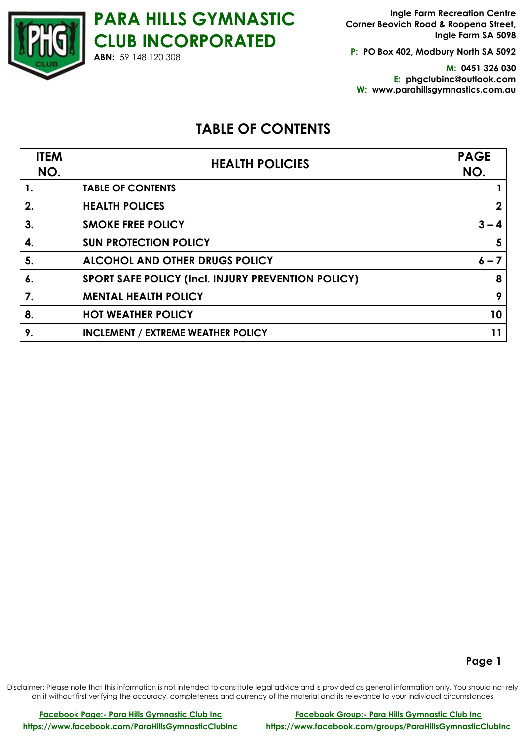**P: PO Box 402, Modbury North SA 5092**

**M: 0451 326 030 E: phgclubinc@outlook.com W: www.parahillsgymnastics.com.au**

# **TABLE OF CONTENTS**

| <b>ITEM</b><br>NO. | <b>HEALTH POLICIES</b>                             | <b>PAGE</b><br>NO. |
|--------------------|----------------------------------------------------|--------------------|
| 1.                 | <b>TABLE OF CONTENTS</b>                           |                    |
| 2.                 | <b>HEALTH POLICES</b>                              | $\mathbf{2}$       |
| 3.                 | <b>SMOKE FREE POLICY</b>                           | $3 - 4$            |
| 4.                 | <b>SUN PROTECTION POLICY</b>                       | 5                  |
| 5.                 | <b>ALCOHOL AND OTHER DRUGS POLICY</b>              | $6 - 7$            |
| $\boldsymbol{6}$ . | SPORT SAFE POLICY (Incl. INJURY PREVENTION POLICY) | 8                  |
| 7.                 | <b>MENTAL HEALTH POLICY</b>                        | 9                  |
| 8.                 | <b>HOT WEATHER POLICY</b>                          | 10 <sub>1</sub>    |
| 9.                 | <b>INCLEMENT / EXTREME WEATHER POLICY</b>          | 11                 |

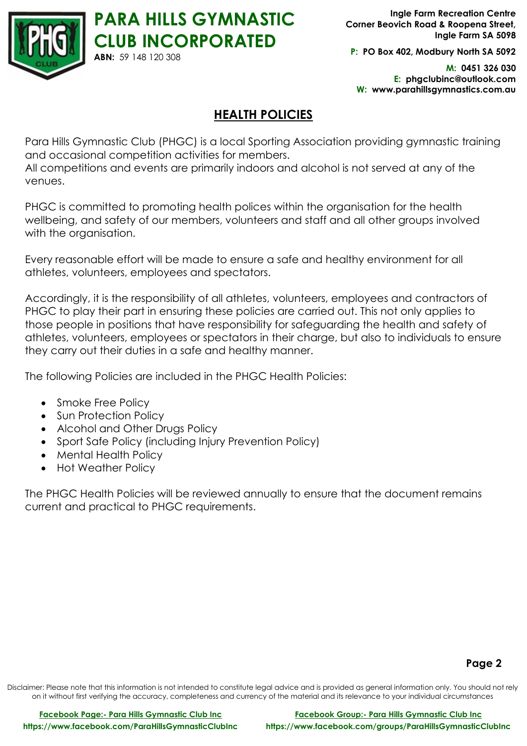

**P: PO Box 402, Modbury North SA 5092**

**M: 0451 326 030 E: phgclubinc@outlook.com W: www.parahillsgymnastics.com.au**

# **HEALTH POLICIES**

Para Hills Gymnastic Club (PHGC) is a local Sporting Association providing gymnastic training and occasional competition activities for members.

All competitions and events are primarily indoors and alcohol is not served at any of the venues.

PHGC is committed to promoting health polices within the organisation for the health wellbeing, and safety of our members, volunteers and staff and all other groups involved with the organisation.

Every reasonable effort will be made to ensure a safe and healthy environment for all athletes, volunteers, employees and spectators.

Accordingly, it is the responsibility of all athletes, volunteers, employees and contractors of PHGC to play their part in ensuring these policies are carried out. This not only applies to those people in positions that have responsibility for safeguarding the health and safety of athletes, volunteers, employees or spectators in their charge, but also to individuals to ensure they carry out their duties in a safe and healthy manner.

The following Policies are included in the PHGC Health Policies:

- Smoke Free Policy
- Sun Protection Policy
- Alcohol and Other Drugs Policy
- Sport Safe Policy (including Injury Prevention Policy)
- Mental Health Policy
- Hot Weather Policy

The PHGC Health Policies will be reviewed annually to ensure that the document remains current and practical to PHGC requirements.

# **Page 2**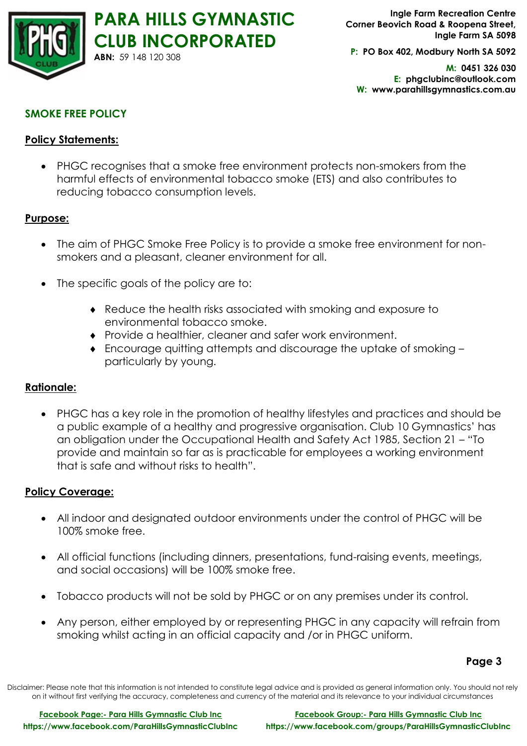

**P: PO Box 402, Modbury North SA 5092**

**M: 0451 326 030 E: phgclubinc@outlook.com W: www.parahillsgymnastics.com.au**

# **SMOKE FREE POLICY**

# **Policy Statements:**

• PHGC recognises that a smoke free environment protects non-smokers from the harmful effects of environmental tobacco smoke (ETS) and also contributes to reducing tobacco consumption levels.

## **Purpose:**

- The aim of PHGC Smoke Free Policy is to provide a smoke free environment for nonsmokers and a pleasant, cleaner environment for all.
- The specific goals of the policy are to:
	- Reduce the health risks associated with smoking and exposure to environmental tobacco smoke.
	- Provide a healthier, cleaner and safer work environment.
	- Encourage quitting attempts and discourage the uptake of smoking particularly by young.

# **Rationale:**

• PHGC has a key role in the promotion of healthy lifestyles and practices and should be a public example of a healthy and progressive organisation. Club 10 Gymnastics' has an obligation under the Occupational Health and Safety Act 1985, Section 21 – "To provide and maintain so far as is practicable for employees a working environment that is safe and without risks to health".

# **Policy Coverage:**

- All indoor and designated outdoor environments under the control of PHGC will be 100% smoke free.
- All official functions (including dinners, presentations, fund-raising events, meetings, and social occasions) will be 100% smoke free.
- Tobacco products will not be sold by PHGC or on any premises under its control.
- Any person, either employed by or representing PHGC in any capacity will refrain from smoking whilst acting in an official capacity and /or in PHGC uniform.

#### **Page 3**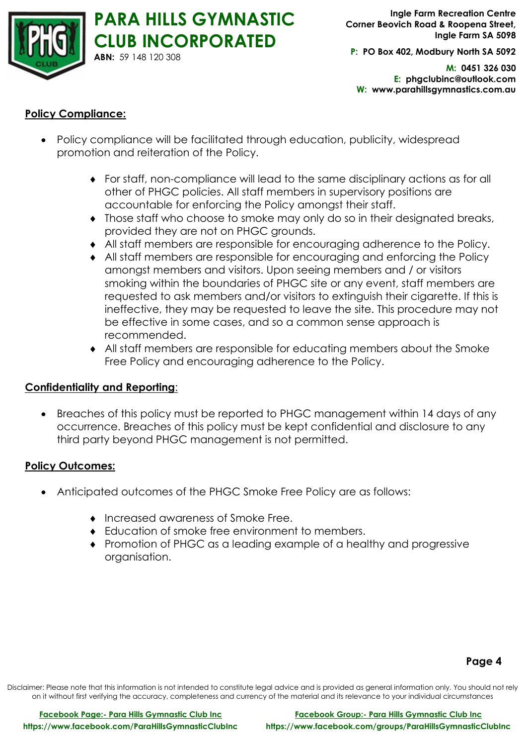

**P: PO Box 402, Modbury North SA 5092**

**M: 0451 326 030 E: phgclubinc@outlook.com W: www.parahillsgymnastics.com.au**

# **Policy Compliance:**

- Policy compliance will be facilitated through education, publicity, widespread promotion and reiteration of the Policy.
	- For staff, non-compliance will lead to the same disciplinary actions as for all other of PHGC policies. All staff members in supervisory positions are accountable for enforcing the Policy amongst their staff.
	- Those staff who choose to smoke may only do so in their designated breaks, provided they are not on PHGC grounds.
	- All staff members are responsible for encouraging adherence to the Policy.
	- All staff members are responsible for encouraging and enforcing the Policy amongst members and visitors. Upon seeing members and / or visitors smoking within the boundaries of PHGC site or any event, staff members are requested to ask members and/or visitors to extinguish their cigarette. If this is ineffective, they may be requested to leave the site. This procedure may not be effective in some cases, and so a common sense approach is recommended.
	- All staff members are responsible for educating members about the Smoke Free Policy and encouraging adherence to the Policy.

# **Confidentiality and Reporting**:

• Breaches of this policy must be reported to PHGC management within 14 days of any occurrence. Breaches of this policy must be kept confidential and disclosure to any third party beyond PHGC management is not permitted.

# **Policy Outcomes:**

- Anticipated outcomes of the PHGC Smoke Free Policy are as follows:
	- Increased awareness of Smoke Free.
	- Education of smoke free environment to members.
	- Promotion of PHGC as a leading example of a healthy and progressive organisation.

# **Page 4**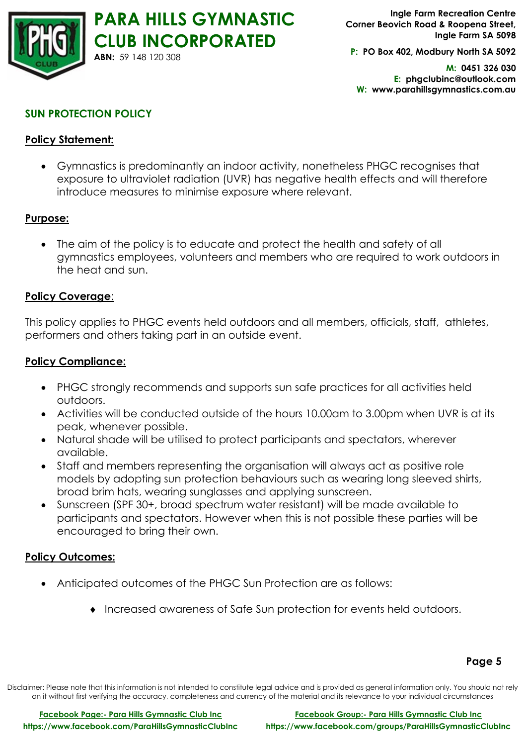

**P: PO Box 402, Modbury North SA 5092**

**M: 0451 326 030 E: phgclubinc@outlook.com W: www.parahillsgymnastics.com.au**

# **SUN PROTECTION POLICY**

# **Policy Statement:**

• Gymnastics is predominantly an indoor activity, nonetheless PHGC recognises that exposure to ultraviolet radiation (UVR) has negative health effects and will therefore introduce measures to minimise exposure where relevant.

#### **Purpose:**

• The aim of the policy is to educate and protect the health and safety of all gymnastics employees, volunteers and members who are required to work outdoors in the heat and sun.

#### **Policy Coverage**:

This policy applies to PHGC events held outdoors and all members, officials, staff, athletes, performers and others taking part in an outside event.

#### **Policy Compliance:**

- PHGC strongly recommends and supports sun safe practices for all activities held outdoors.
- Activities will be conducted outside of the hours 10.00am to 3.00pm when UVR is at its peak, whenever possible.
- Natural shade will be utilised to protect participants and spectators, wherever available.
- Staff and members representing the organisation will always act as positive role models by adopting sun protection behaviours such as wearing long sleeved shirts, broad brim hats, wearing sunglasses and applying sunscreen.
- Sunscreen (SPF 30+, broad spectrum water resistant) will be made available to participants and spectators. However when this is not possible these parties will be encouraged to bring their own.

#### **Policy Outcomes:**

- Anticipated outcomes of the PHGC Sun Protection are as follows:
	- Increased awareness of Safe Sun protection for events held outdoors.

#### **Page 5**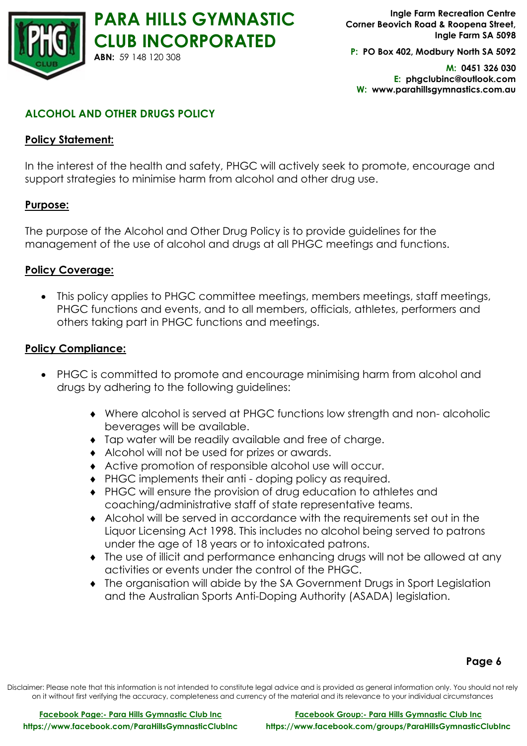

**P: PO Box 402, Modbury North SA 5092**

**M: 0451 326 030 E: phgclubinc@outlook.com W: www.parahillsgymnastics.com.au**

# **ALCOHOL AND OTHER DRUGS POLICY**

# **Policy Statement:**

In the interest of the health and safety, PHGC will actively seek to promote, encourage and support strategies to minimise harm from alcohol and other drug use.

# **Purpose:**

The purpose of the Alcohol and Other Drug Policy is to provide guidelines for the management of the use of alcohol and drugs at all PHGC meetings and functions.

# **Policy Coverage:**

• This policy applies to PHGC committee meetings, members meetings, staff meetings, PHGC functions and events, and to all members, officials, athletes, performers and others taking part in PHGC functions and meetings.

## **Policy Compliance:**

- PHGC is committed to promote and encourage minimising harm from alcohol and drugs by adhering to the following guidelines:
	- Where alcohol is served at PHGC functions low strength and non- alcoholic beverages will be available.
	- Tap water will be readily available and free of charge.
	- Alcohol will not be used for prizes or awards.
	- Active promotion of responsible alcohol use will occur.
	- ◆ PHGC implements their anti doping policy as required.
	- PHGC will ensure the provision of drug education to athletes and coaching/administrative staff of state representative teams.
	- Alcohol will be served in accordance with the requirements set out in the Liquor Licensing Act 1998. This includes no alcohol being served to patrons under the age of 18 years or to intoxicated patrons.
	- The use of illicit and performance enhancing drugs will not be allowed at any activities or events under the control of the PHGC.
	- The organisation will abide by the SA Government Drugs in Sport Legislation and the Australian Sports Anti-Doping Authority (ASADA) legislation.

# **Page 6**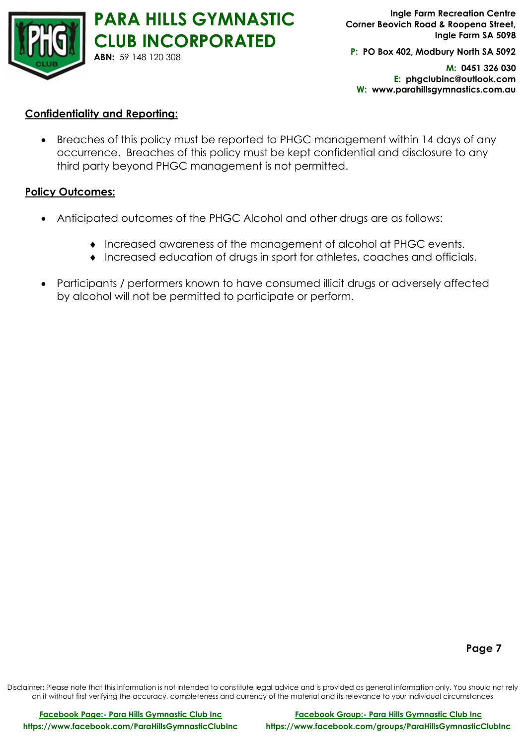

**P: PO Box 402, Modbury North SA 5092**

**M: 0451 326 030 E: phgclubinc@outlook.com W: www.parahillsgymnastics.com.au**

#### **Confidentiality and Reporting:**

• Breaches of this policy must be reported to PHGC management within 14 days of any occurrence. Breaches of this policy must be kept confidential and disclosure to any third party beyond PHGC management is not permitted.

#### **Policy Outcomes:**

- Anticipated outcomes of the PHGC Alcohol and other drugs are as follows:
	- Increased awareness of the management of alcohol at PHGC events.
	- Increased education of drugs in sport for athletes, coaches and officials.
- Participants / performers known to have consumed illicit drugs or adversely affected by alcohol will not be permitted to participate or perform.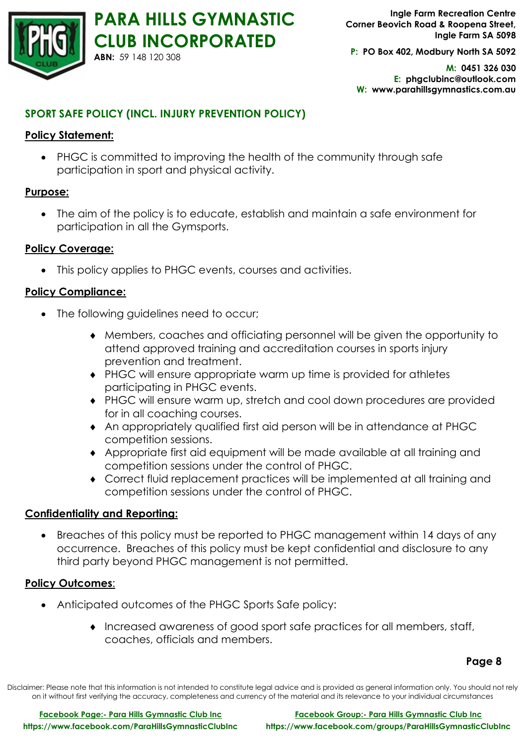

**P: PO Box 402, Modbury North SA 5092**

**M: 0451 326 030 E: phgclubinc@outlook.com W: www.parahillsgymnastics.com.au**

# **SPORT SAFE POLICY (INCL. INJURY PREVENTION POLICY)**

# **Policy Statement:**

• PHGC is committed to improving the health of the community through safe participation in sport and physical activity.

# **Purpose:**

• The aim of the policy is to educate, establish and maintain a safe environment for participation in all the Gymsports.

# **Policy Coverage:**

• This policy applies to PHGC events, courses and activities.

## **Policy Compliance:**

- The following guidelines need to occur;
	- Members, coaches and officiating personnel will be given the opportunity to attend approved training and accreditation courses in sports injury prevention and treatment.
	- PHGC will ensure appropriate warm up time is provided for athletes participating in PHGC events.
	- PHGC will ensure warm up, stretch and cool down procedures are provided for in all coaching courses.
	- An appropriately qualified first aid person will be in attendance at PHGC competition sessions.
	- Appropriate first aid equipment will be made available at all training and competition sessions under the control of PHGC.
	- Correct fluid replacement practices will be implemented at all training and competition sessions under the control of PHGC.

#### **Confidentiality and Reporting:**

• Breaches of this policy must be reported to PHGC management within 14 days of any occurrence. Breaches of this policy must be kept confidential and disclosure to any third party beyond PHGC management is not permitted.

#### **Policy Outcomes**:

- Anticipated outcomes of the PHGC Sports Safe policy:
	- Increased awareness of good sport safe practices for all members, staff, coaches, officials and members.

**Page 8**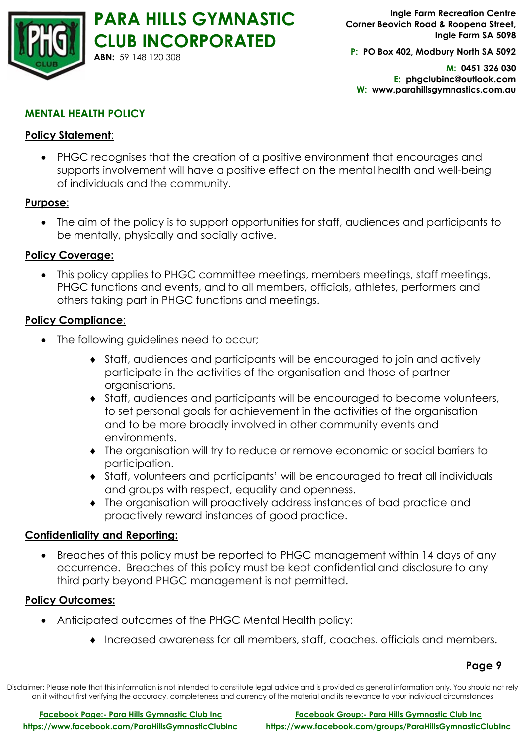

**P: PO Box 402, Modbury North SA 5092**

**M: 0451 326 030 E: phgclubinc@outlook.com W: www.parahillsgymnastics.com.au**

# **MENTAL HEALTH POLICY**

# **Policy Statement**:

• PHGC recognises that the creation of a positive environment that encourages and supports involvement will have a positive effect on the mental health and well-being of individuals and the community.

#### **Purpose**:

• The aim of the policy is to support opportunities for staff, audiences and participants to be mentally, physically and socially active.

## **Policy Coverage:**

• This policy applies to PHGC committee meetings, members meetings, staff meetings, PHGC functions and events, and to all members, officials, athletes, performers and others taking part in PHGC functions and meetings.

## **Policy Compliance**:

- The following guidelines need to occur;
	- Staff, audiences and participants will be encouraged to join and actively participate in the activities of the organisation and those of partner organisations.
	- Staff, audiences and participants will be encouraged to become volunteers, to set personal goals for achievement in the activities of the organisation and to be more broadly involved in other community events and environments.
	- The organisation will try to reduce or remove economic or social barriers to participation.
	- Staff, volunteers and participants' will be encouraged to treat all individuals and groups with respect, equality and openness.
	- The organisation will proactively address instances of bad practice and proactively reward instances of good practice.

# **Confidentiality and Reporting:**

• Breaches of this policy must be reported to PHGC management within 14 days of any occurrence. Breaches of this policy must be kept confidential and disclosure to any third party beyond PHGC management is not permitted.

#### **Policy Outcomes:**

- Anticipated outcomes of the PHGC Mental Health policy:
	- Increased awareness for all members, staff, coaches, officials and members.

**Page 9**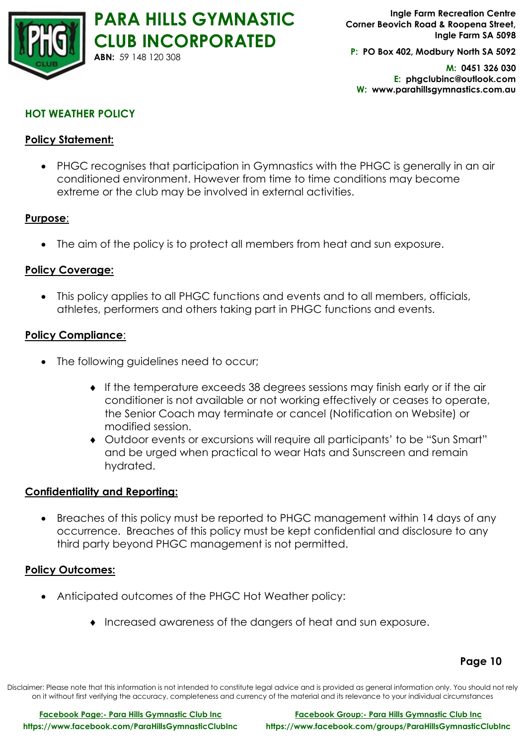

**P: PO Box 402, Modbury North SA 5092**

**M: 0451 326 030 E: phgclubinc@outlook.com W: www.parahillsgymnastics.com.au**

# **HOT WEATHER POLICY**

# **Policy Statement:**

• PHGC recognises that participation in Gymnastics with the PHGC is generally in an air conditioned environment. However from time to time conditions may become extreme or the club may be involved in external activities.

#### **Purpose**:

• The aim of the policy is to protect all members from heat and sun exposure.

## **Policy Coverage:**

• This policy applies to all PHGC functions and events and to all members, officials, athletes, performers and others taking part in PHGC functions and events.

#### **Policy Compliance**:

- The following guidelines need to occur;
	- If the temperature exceeds 38 degrees sessions may finish early or if the air conditioner is not available or not working effectively or ceases to operate, the Senior Coach may terminate or cancel (Notification on Website) or modified session.
	- Outdoor events or excursions will require all participants' to be "Sun Smart" and be urged when practical to wear Hats and Sunscreen and remain hydrated.

#### **Confidentiality and Reporting:**

• Breaches of this policy must be reported to PHGC management within 14 days of any occurrence. Breaches of this policy must be kept confidential and disclosure to any third party beyond PHGC management is not permitted.

#### **Policy Outcomes:**

- Anticipated outcomes of the PHGC Hot Weather policy:
	- Increased awareness of the dangers of heat and sun exposure.

# **Page 10**